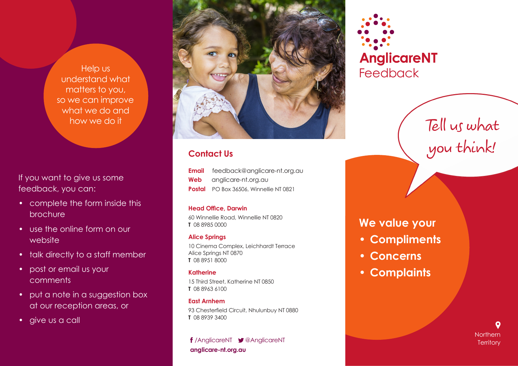Help us understand what matters to you, so we can improve what we do and how we do it

If you want to give us some feedback, you can:

- complete the form inside this brochure
- use the online form on our website
- talk directly to a staff member
- post or email us your comments
- put a note in a suggestion box at our reception areas, or
- give us a call



# **Contact Us**

| Email | feedback@anglicare-nt.org.au                  |
|-------|-----------------------------------------------|
| Web   | anglicare-nt.org.au                           |
|       | <b>Postal</b> PO Box 36506, Winnellie NT 0821 |

#### **Head Office, Darwin**

60 Winnellie Road, Winnellie NT 0820 **T** 08 8985 0000

## **Alice Springs**

10 Cinema Complex, Leichhardt Terrace Alice Springs NT 0870 **T** 08 8951 8000

## **Katherine**

15 Third Street, Katherine NT 0850 **T** 08 8963 6100

## **East Arnhem**

93 Chesterfield Circuit, Nhulunbuy NT 0880 **T** 08 8939 3400

**anglicare-nt.org.au** /AnglicareNT @AnglicareNT



# Tell us what you think!

# **We value your**

- **• Compliments**
- **• Concerns**
- **• Complaints**